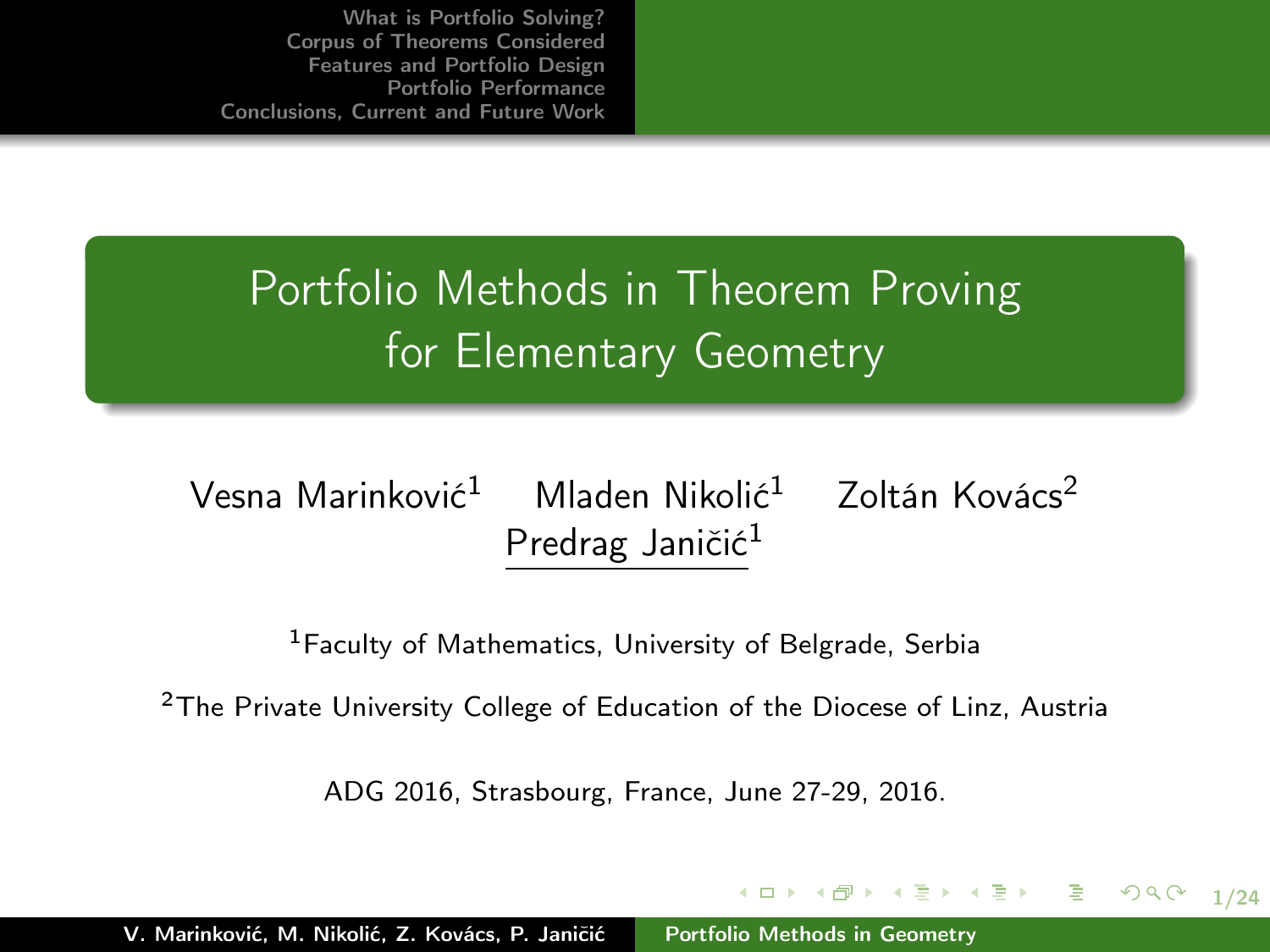Portfolio Methods in Theorem Proving for Elementary Geometry

### Vesna Marinković<sup>1</sup> Mladen Nikolić<sup>1</sup> Zoltán Kovács<sup>2</sup> Predrag Janičić<sup>1</sup>

<sup>1</sup>Faculty of Mathematics, University of Belgrade, Serbia

<sup>2</sup>The Private University College of Education of the Diocese of Linz, Austria

ADG 2016, Strasbourg, France, June 27-29, 2016.

<span id="page-0-0"></span>1/24

 $2990$ 

K ロ ▶ K @ ▶ K 글 ▶ K 글 ▶ ○ 글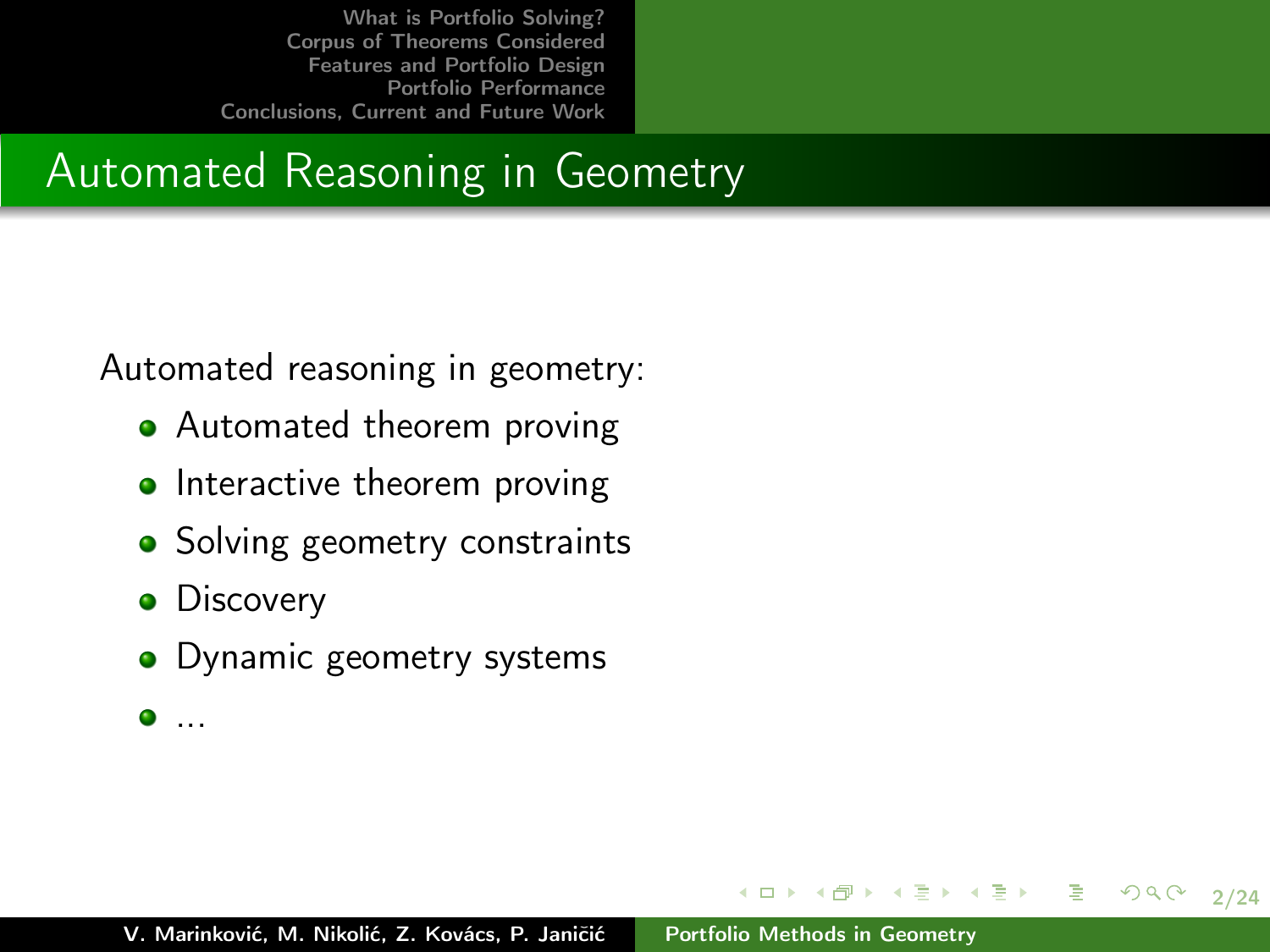### Automated Reasoning in Geometry

Automated reasoning in geometry:

- Automated theorem proving
- $\bullet$  Interactive theorem proving
- Solving geometry constraints
- **•** Discovery
- Dynamic geometry systems
- $\bullet$  ...

2/24

 $290$ 

イロメ イ母メ イヨメ イヨメー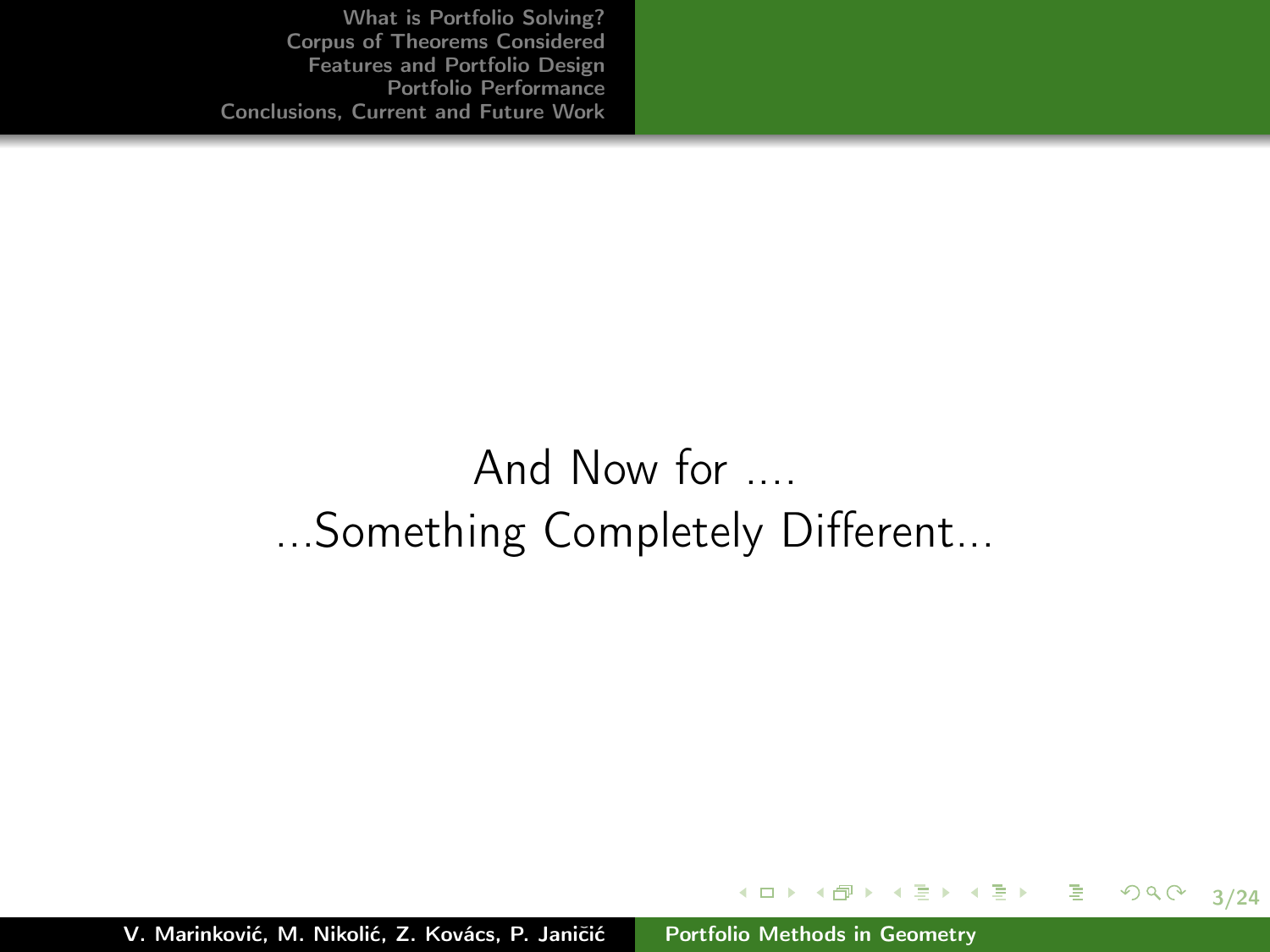# And Now for .... ...Something Completely Different...

V. Marinković, M. Nikolić, Z. Kovács, P. Janičić [Portfolio Methods in Geometry](#page-0-0)

3/24

 $299$ 

イロメ イ団メ イモメ イモメー 毛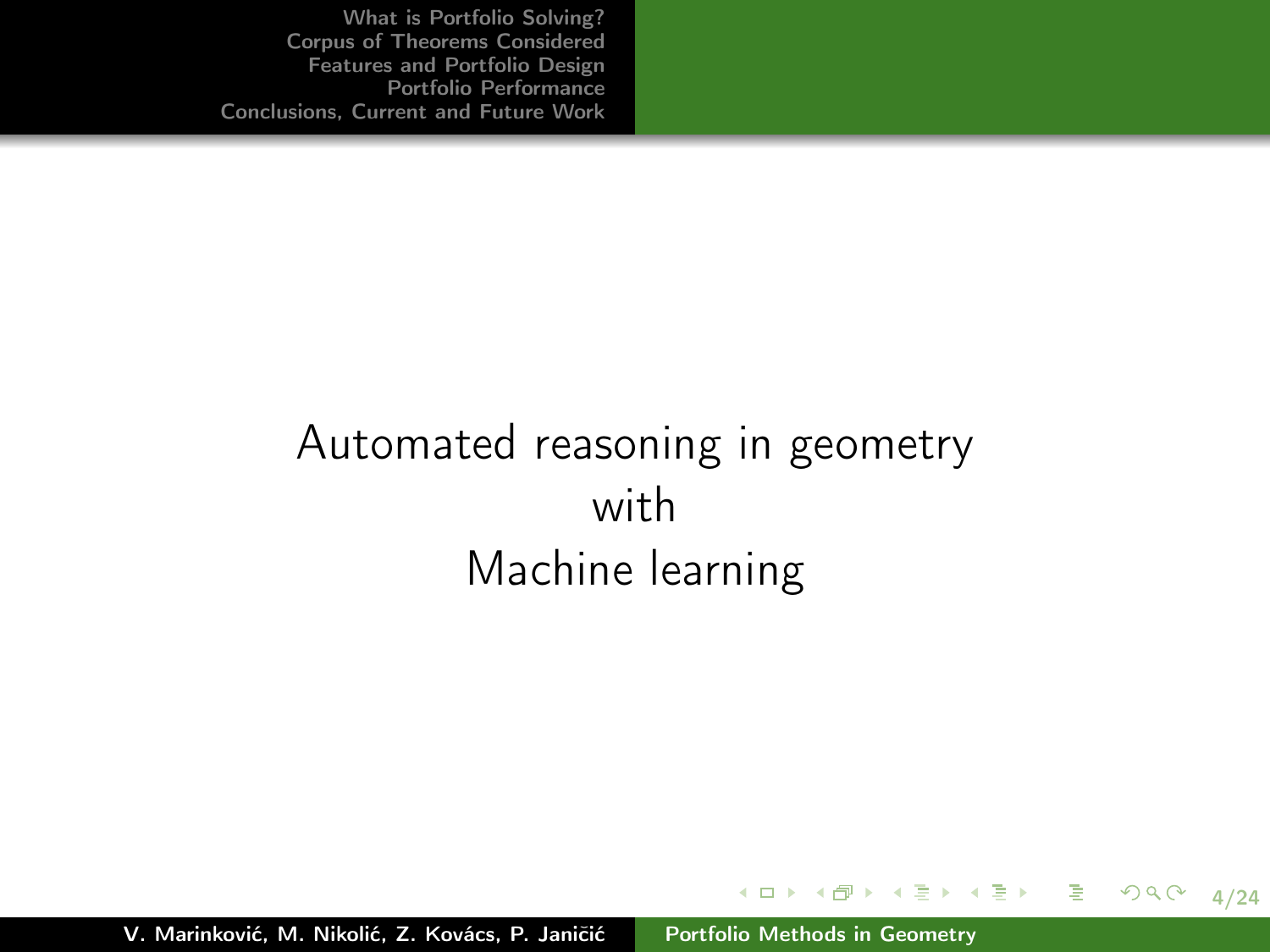# Automated reasoning in geometry with Machine learning

4/24

 $2Q$ 

メロメ メタメ メミメ メミメン ミ

V. Marinković, M. Nikolić, Z. Kovács, P. Janičić [Portfolio Methods in Geometry](#page-0-0)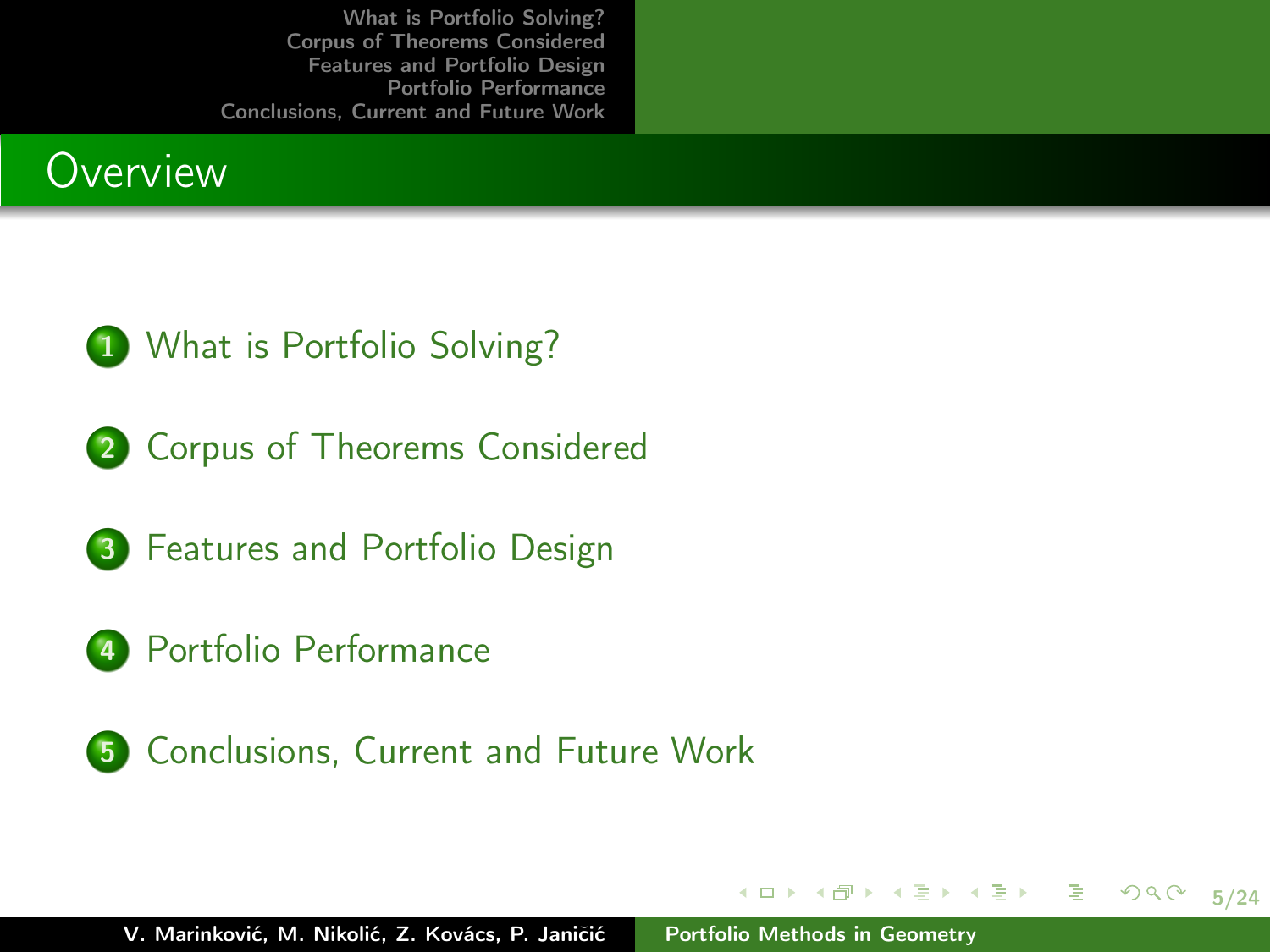



2 [Corpus of Theorems Considered](#page-8-0)



- 4 [Portfolio Performance](#page-17-0)
- 5 [Conclusions, Current and Future Work](#page-22-0)

イロト イ部 トイミト イミト

5/24

目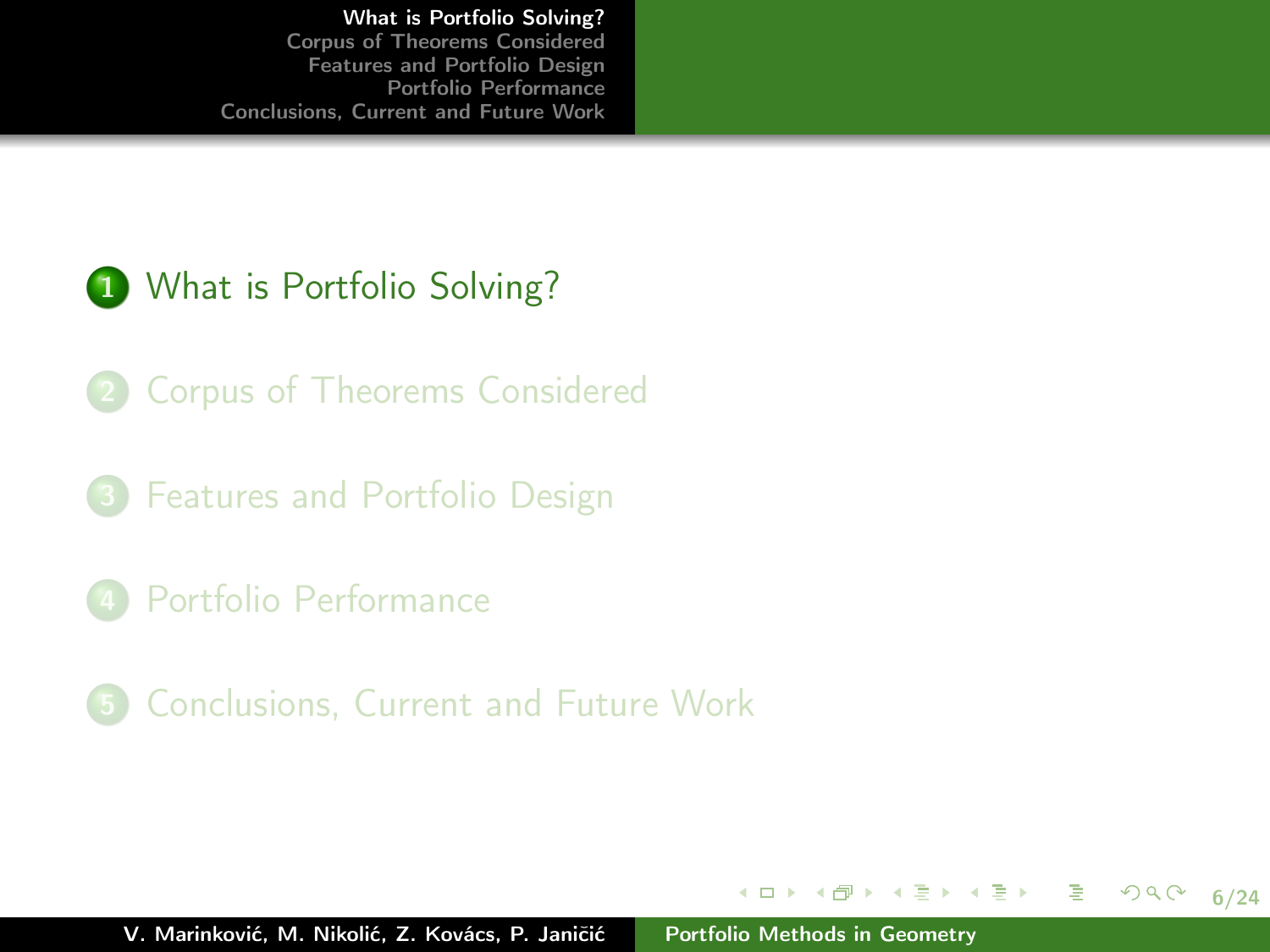### 1 [What is Portfolio Solving?](#page-5-0)

- 2 [Corpus of Theorems Considered](#page-8-0)
- 3 [Features and Portfolio Design](#page-13-0)
- 4 [Portfolio Performance](#page-17-0)
- 5 [Conclusions, Current and Future Work](#page-22-0)

イロト イ部 トイミト イミト

<span id="page-5-0"></span>6/24

目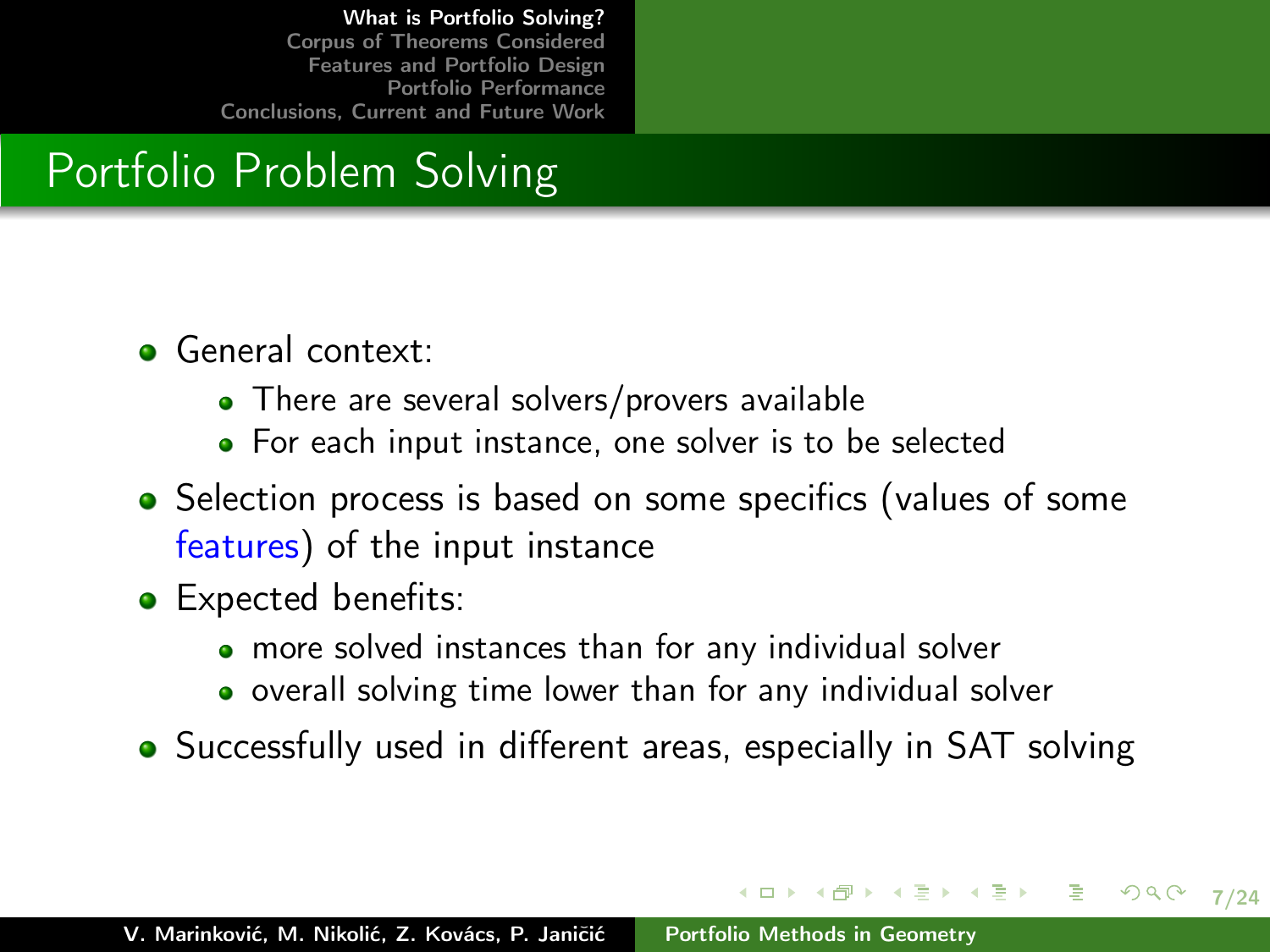# Portfolio Problem Solving

- **General context:** 
	- There are several solvers/provers available
	- For each input instance, one solver is to be selected
- Selection process is based on some specifics (values of some features) of the input instance
- Expected benefits:
	- more solved instances than for any individual solver
	- **•** overall solving time lower than for any individual solver
- Successfully used in different areas, especially in SAT solving

イロメ イ母メ イヨメ イヨメー

7/24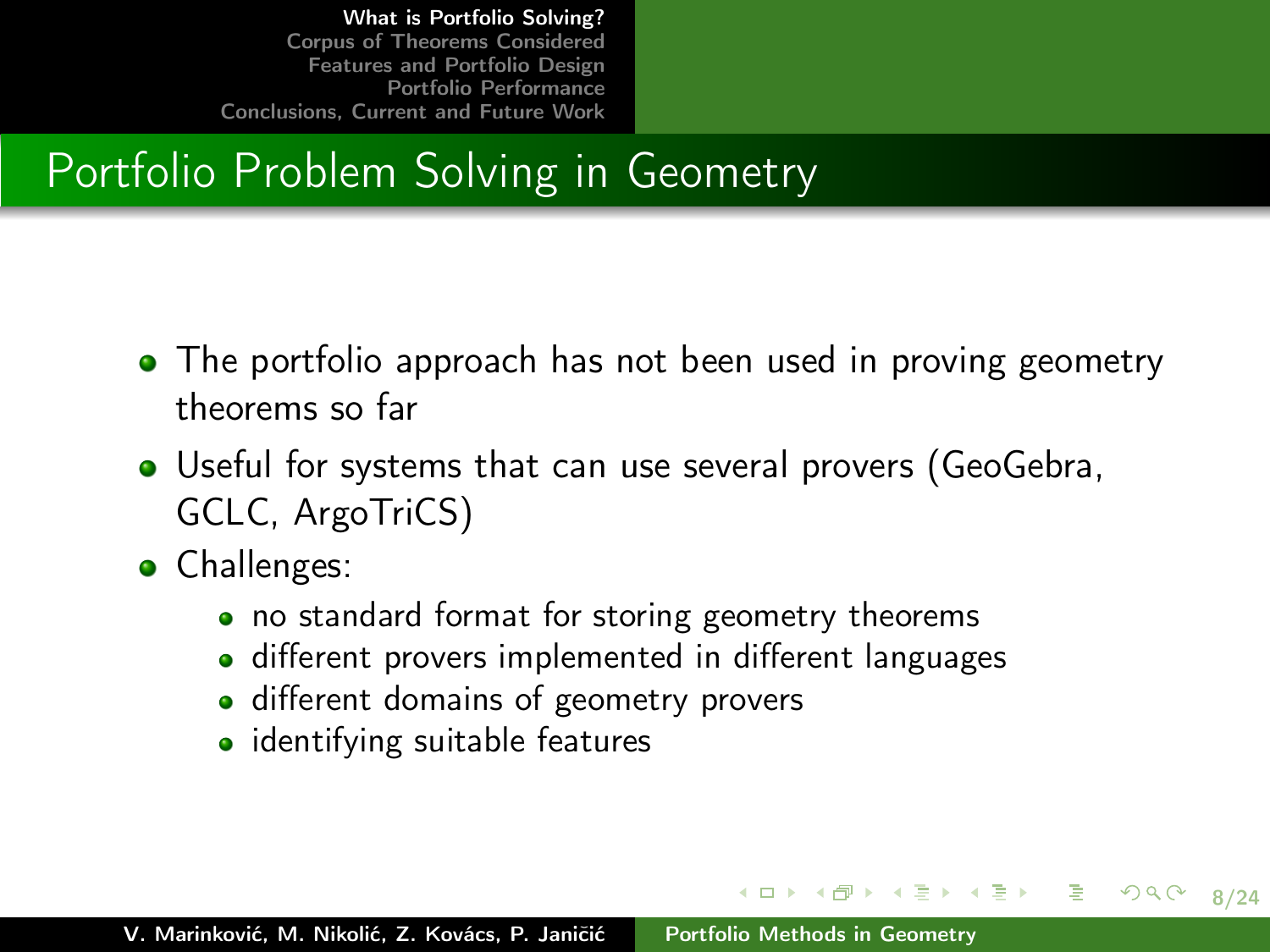# Portfolio Problem Solving in Geometry

- The portfolio approach has not been used in proving geometry theorems so far
- Useful for systems that can use several provers (GeoGebra, GCLC, ArgoTriCS)
- **•** Challenges:
	- no standard format for storing geometry theorems
	- different provers implemented in different languages

<span id="page-7-0"></span>8/24

 $290$ 

K ロンバイ (型) > X (型) > (二)型) > (二)型

- different domains of geometry provers
- identifying suitable features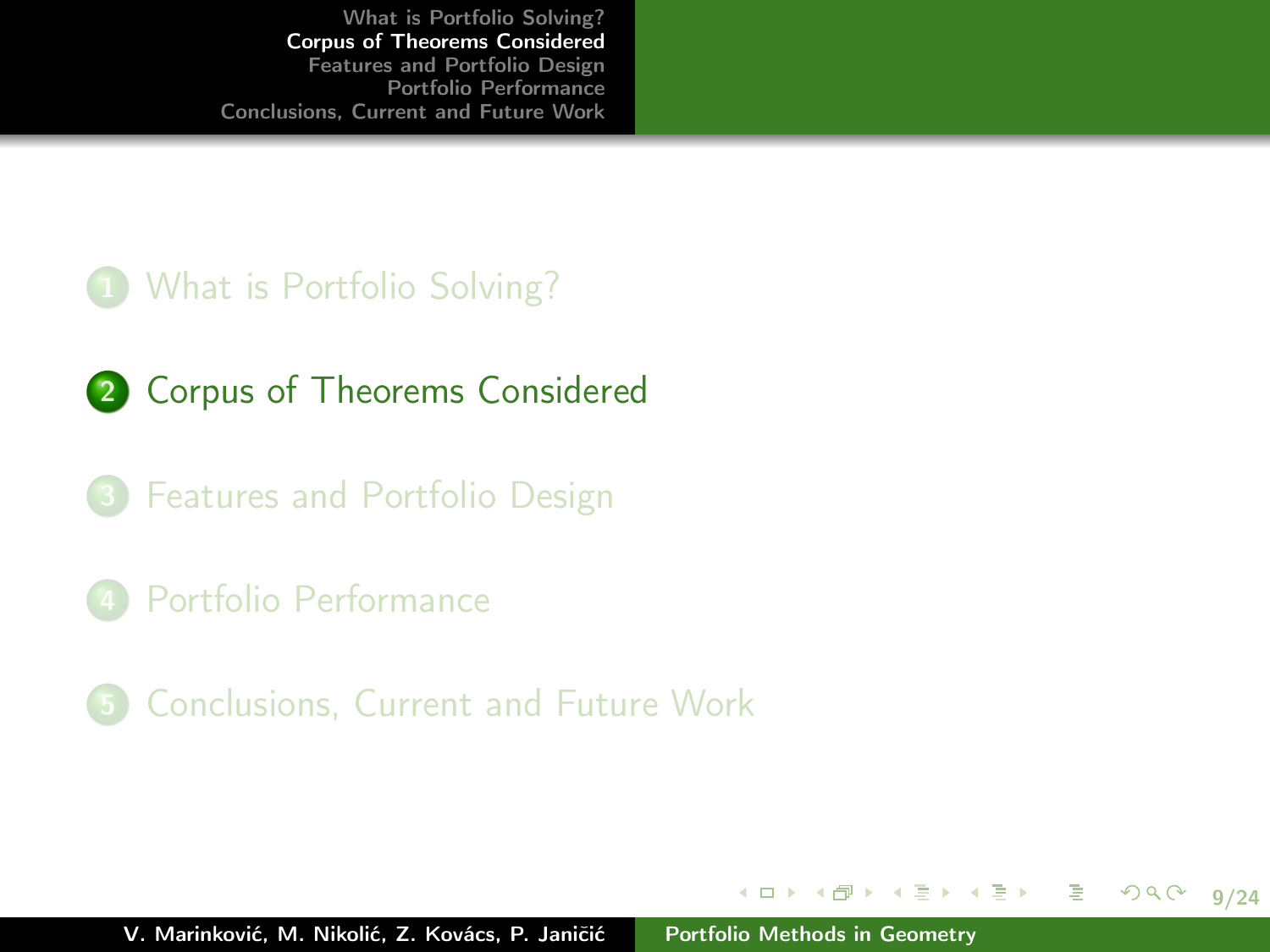#### 1 [What is Portfolio Solving?](#page-5-0)

- 2 [Corpus of Theorems Considered](#page-8-0)
- 3 [Features and Portfolio Design](#page-13-0)
- 4 [Portfolio Performance](#page-17-0)
- 5 [Conclusions, Current and Future Work](#page-22-0)

イロト イ部 トイミト イミト

<span id="page-8-0"></span>9/24

目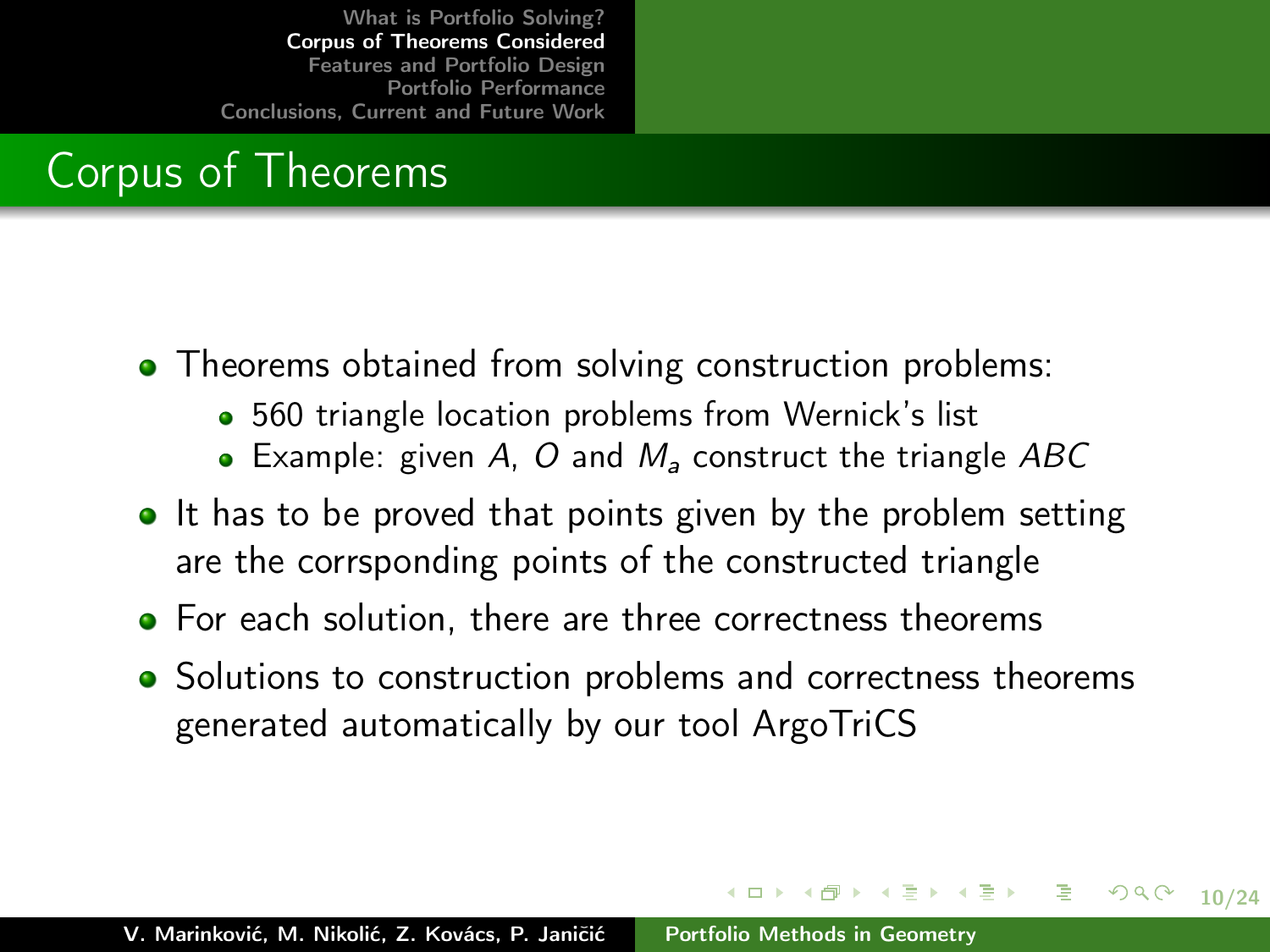# Corpus of Theorems

- Theorems obtained from solving construction problems:
	- 560 triangle location problems from Wernick's list
	- Example: given A, O and  $M_a$  construct the triangle ABC
- $\bullet$  It has to be proved that points given by the problem setting are the corrsponding points of the constructed triangle
- For each solution, there are three correctness theorems
- Solutions to construction problems and correctness theorems generated automatically by our tool ArgoTriCS

イロン イ団ン イミン イミン 一生

10/24

 $2Q$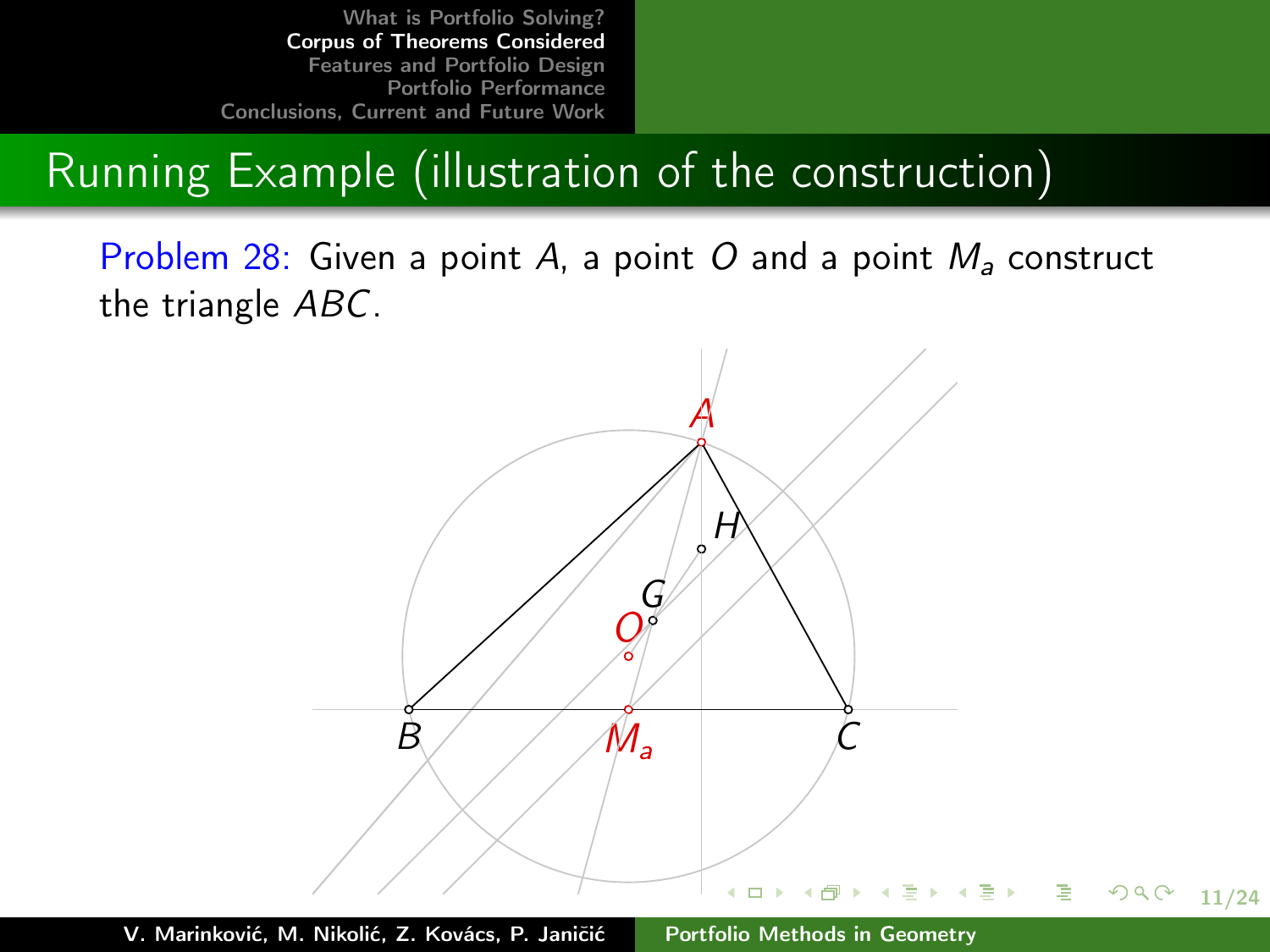# Running Example (illustration of the construction)

Problem 28: Given a point A, a point O and a point  $M_a$  construct the triangle ABC.

<span id="page-10-0"></span>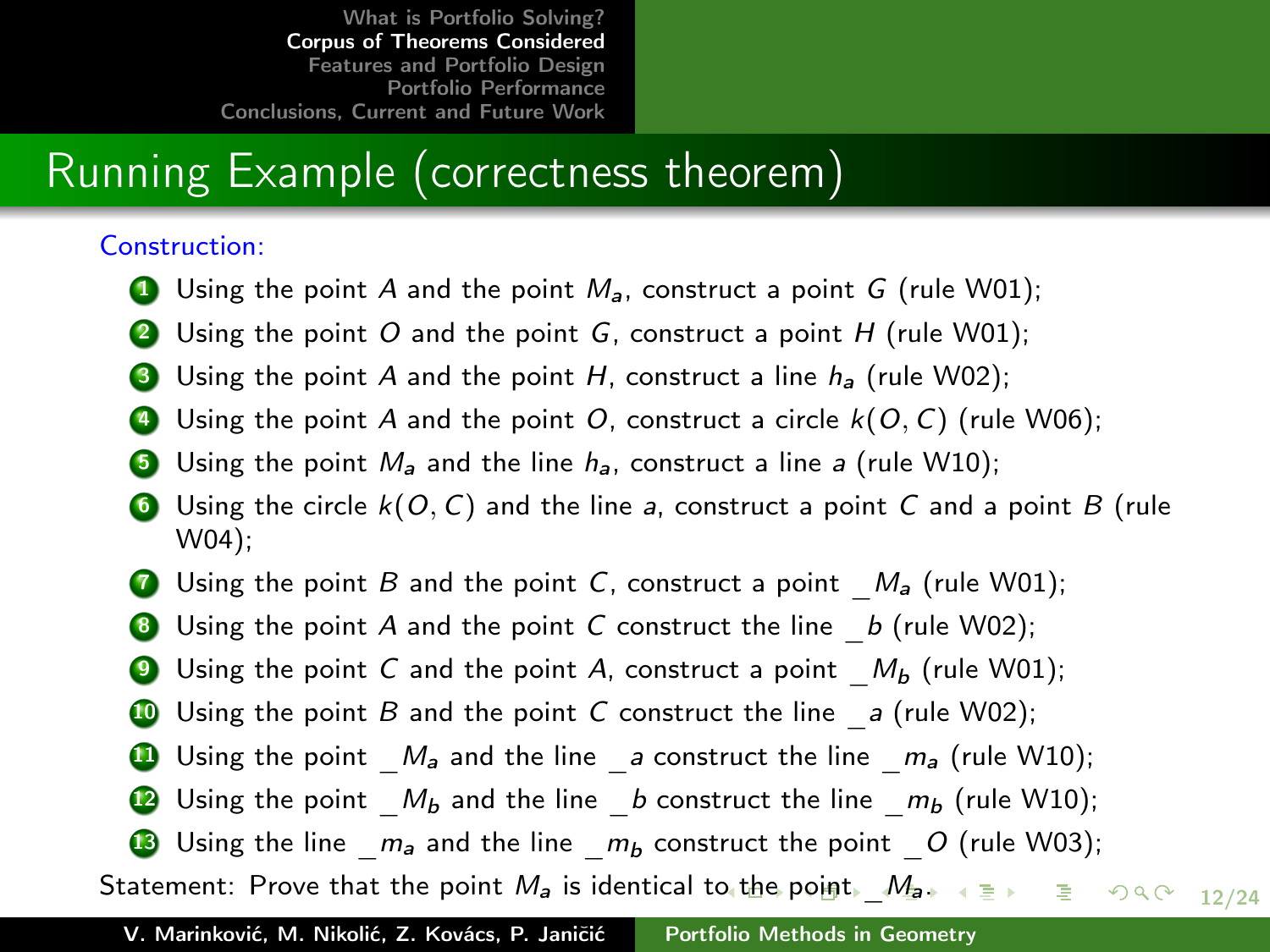### Running Example (correctness theorem)

#### Construction:

- **1** Using the point A and the point  $M_a$ , construct a point G (rule W01);
- **2** Using the point O and the point G, construct a point  $H$  (rule W01);
- **3** Using the point A and the point H, construct a line  $h_a$  (rule W02);
- $\bullet$  Using the point A and the point O, construct a circle  $k(O, C)$  (rule W06);
- **3** Using the point  $M_a$  and the line  $h_a$ , construct a line a (rule W10);
- **6** Using the circle  $k(0, C)$  and the line a, construct a point C and a point B (rule W04);
- **7** Using the point B and the point C, construct a point  $M_a$  (rule W01);
- **8** Using the point A and the point C construct the line  $b$  (rule W02);
- **9** Using the point C and the point A, construct a point  $M_b$  (rule W01);
- **10** Using the point B and the point C construct the line  $\alpha$  (rule W02);
- **11** Using the point  $M_a$  and the line a construct the line  $m_a$  (rule W10);
- <span id="page-11-0"></span>**12** Using the point  $M_b$  and the line b construct the line  $m_b$  (rule W10);
- **13** Using the line  $m_a$  and the line  $m_b$  construct the point  $O$  (rule W03);

12/24 Statement: Prov[e](#page-12-0) that the [po](#page-10-0)[int](#page-11-0) $M_a$  $M_a$  $M_a$  is identical t[o t](#page-10-0)he point[.](#page-13-0)  $M_{a}$  $M_{a}$ .  $a \geq a$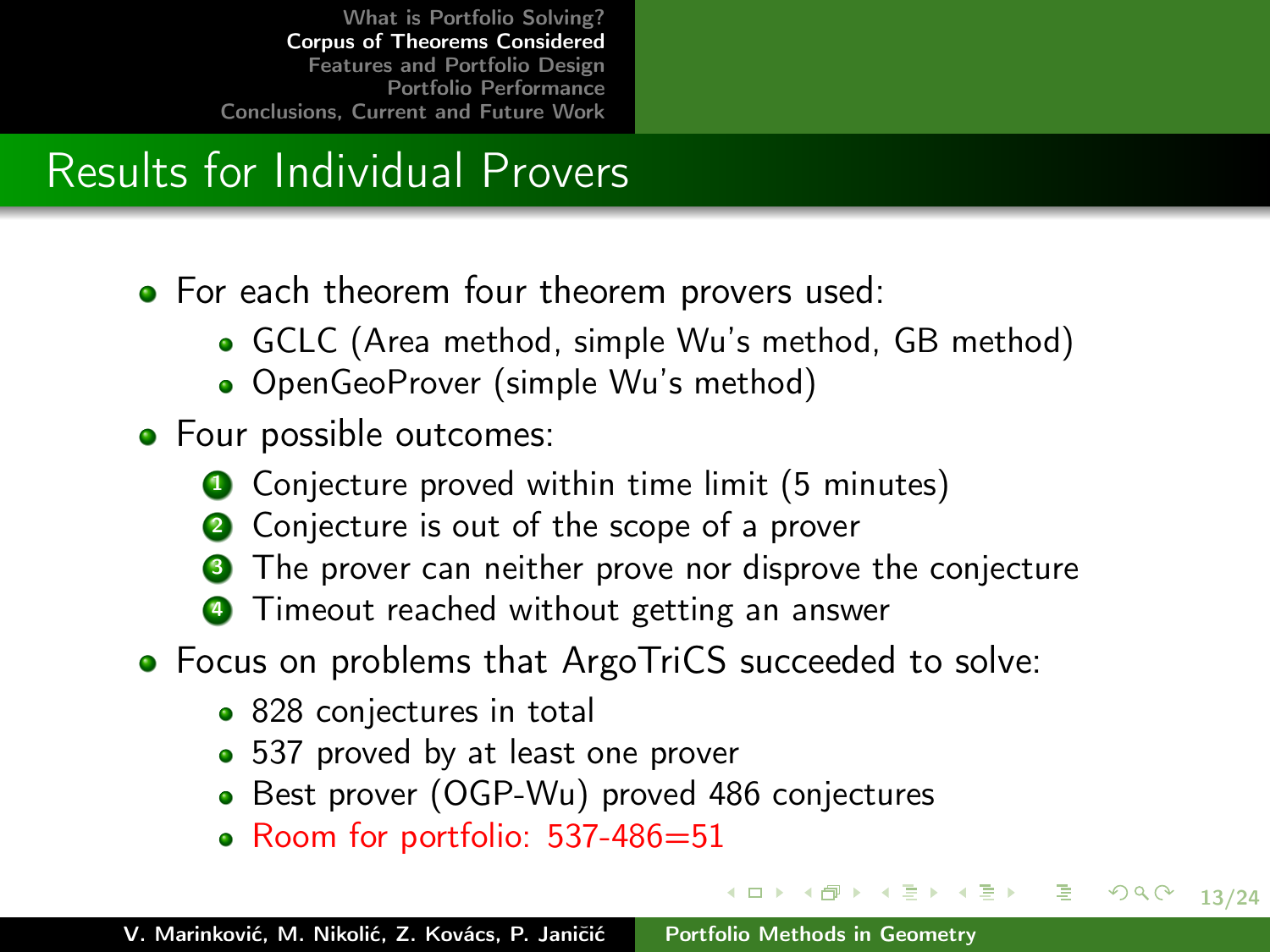# Results for Individual Provers

- For each theorem four theorem provers used:
	- GCLC (Area method, simple Wu's method, GB method)
	- OpenGeoProver (simple Wu's method)
- Four possible outcomes:
	- **4** Conjecture proved within time limit (5 minutes)
	- **2** Conjecture is out of the scope of a prover
	- The prover can neither prove nor disprove the conjecture

イロン イ団ン イミン イミン 一生

<span id="page-12-0"></span>13/24

 $2Q$ 

- **4** Timeout reached without getting an answer
- Focus on problems that ArgoTriCS succeeded to solve:
	- 828 conjectures in total
	- 537 proved by at least one prover
	- Best prover (OGP-Wu) proved 486 conjectures
	- Room for portfolio: 537-486=51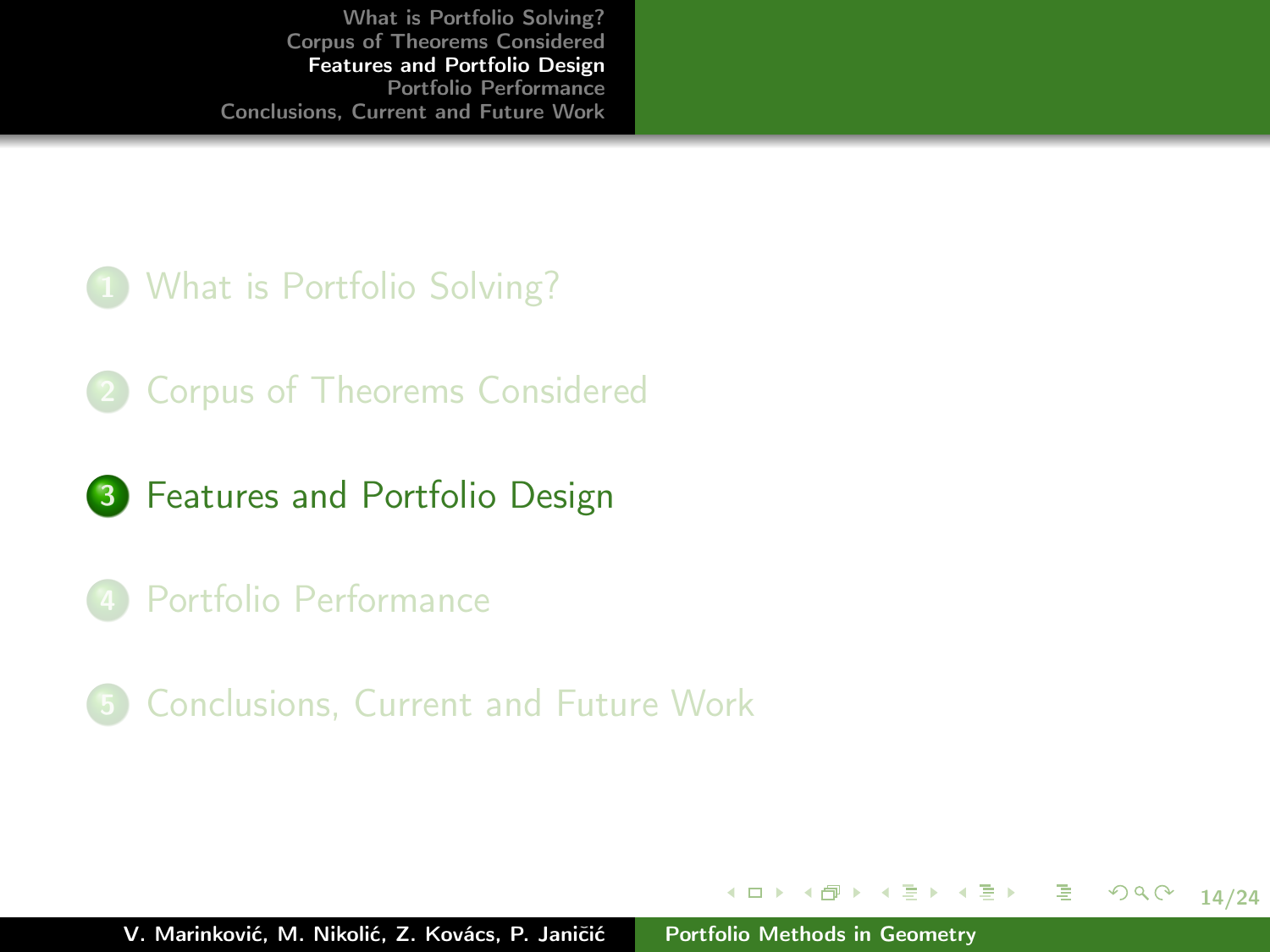#### 1 [What is Portfolio Solving?](#page-5-0)

- 2 [Corpus of Theorems Considered](#page-8-0)
- **3** [Features and Portfolio Design](#page-13-0)
- 4 [Portfolio Performance](#page-17-0)
- 5 [Conclusions, Current and Future Work](#page-22-0)

イロメ イ部メ イミメ イミメー

<span id="page-13-0"></span>14/24

重。  $298$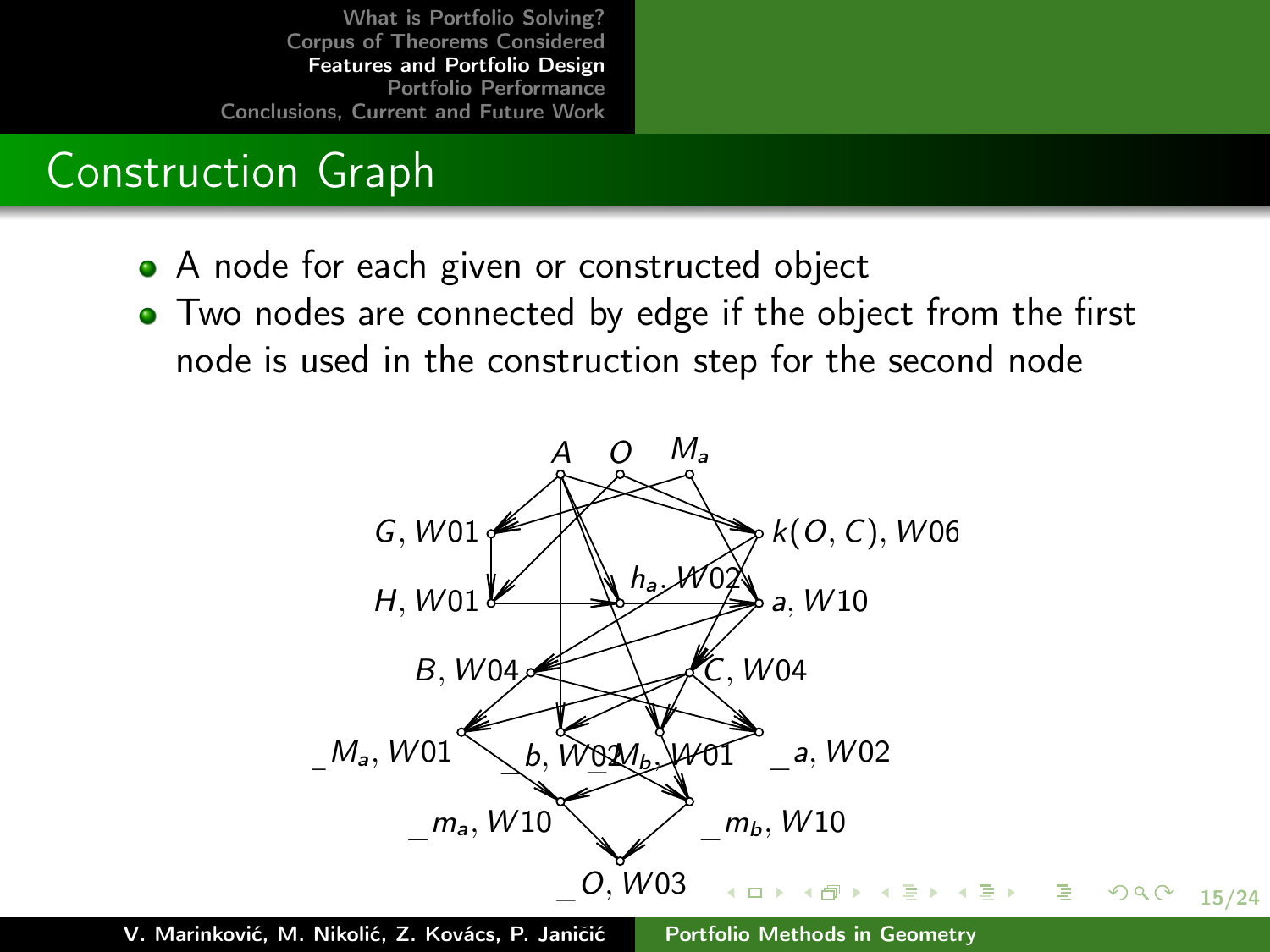## Construction Graph

- A node for each given or constructed object
- Two nodes are connected by edge if the object from the first node is used in the construction step for the second node

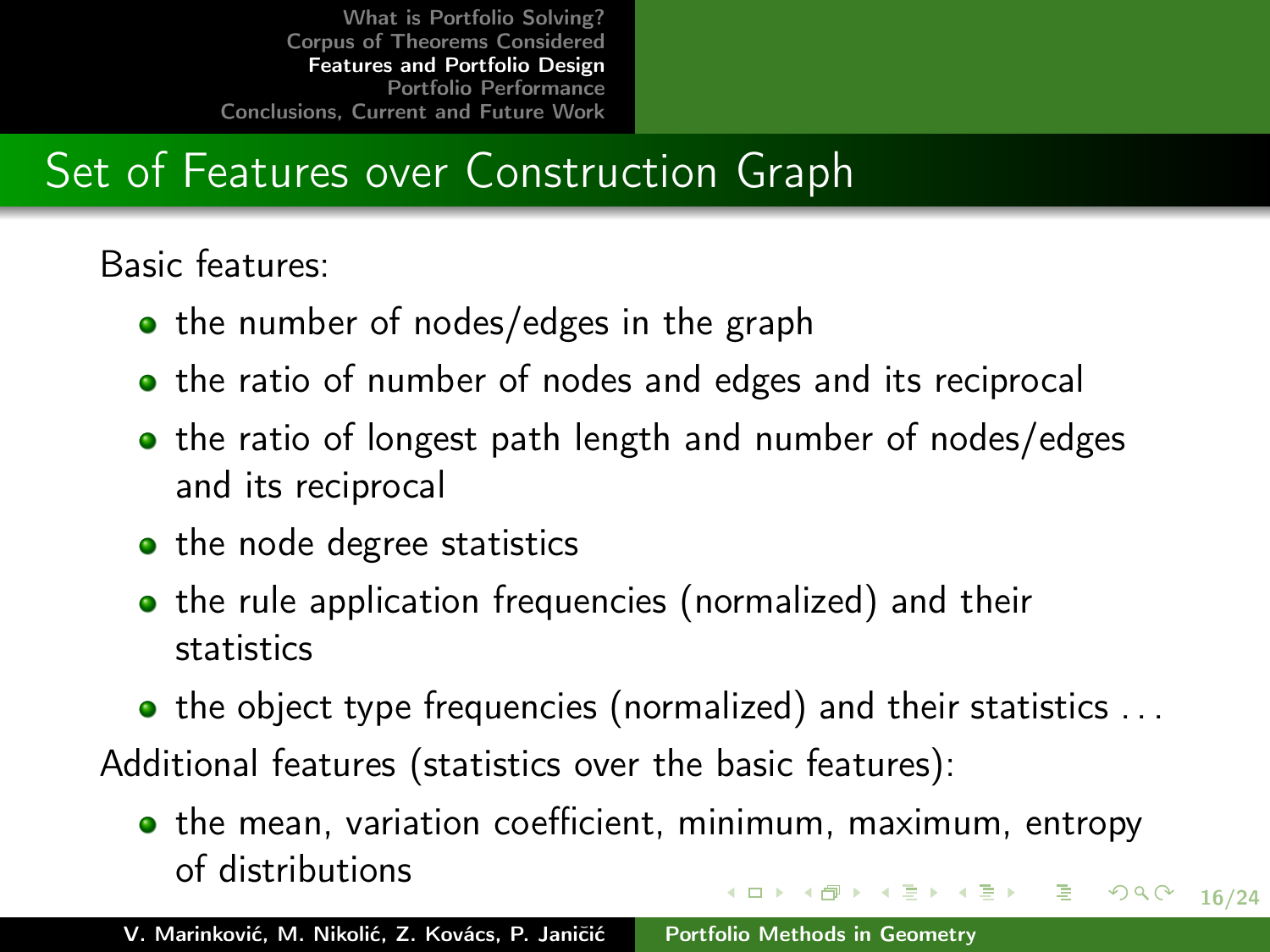# Set of Features over Construction Graph

Basic features:

- the number of nodes/edges in the graph
- the ratio of number of nodes and edges and its reciprocal
- the ratio of longest path length and number of nodes/edges and its reciprocal
- $\bullet$  the node degree statistics
- the rule application frequencies (normalized) and their statistics
- $\bullet$  the object type frequencies (normalized) and their statistics  $\dots$

Additional features (statistics over the basic features):

• the mean, variation coefficient, minimum, maximum, entropy of distributions メロメ メ都 メメきメ メきメー 急い  $2990$ 

16/24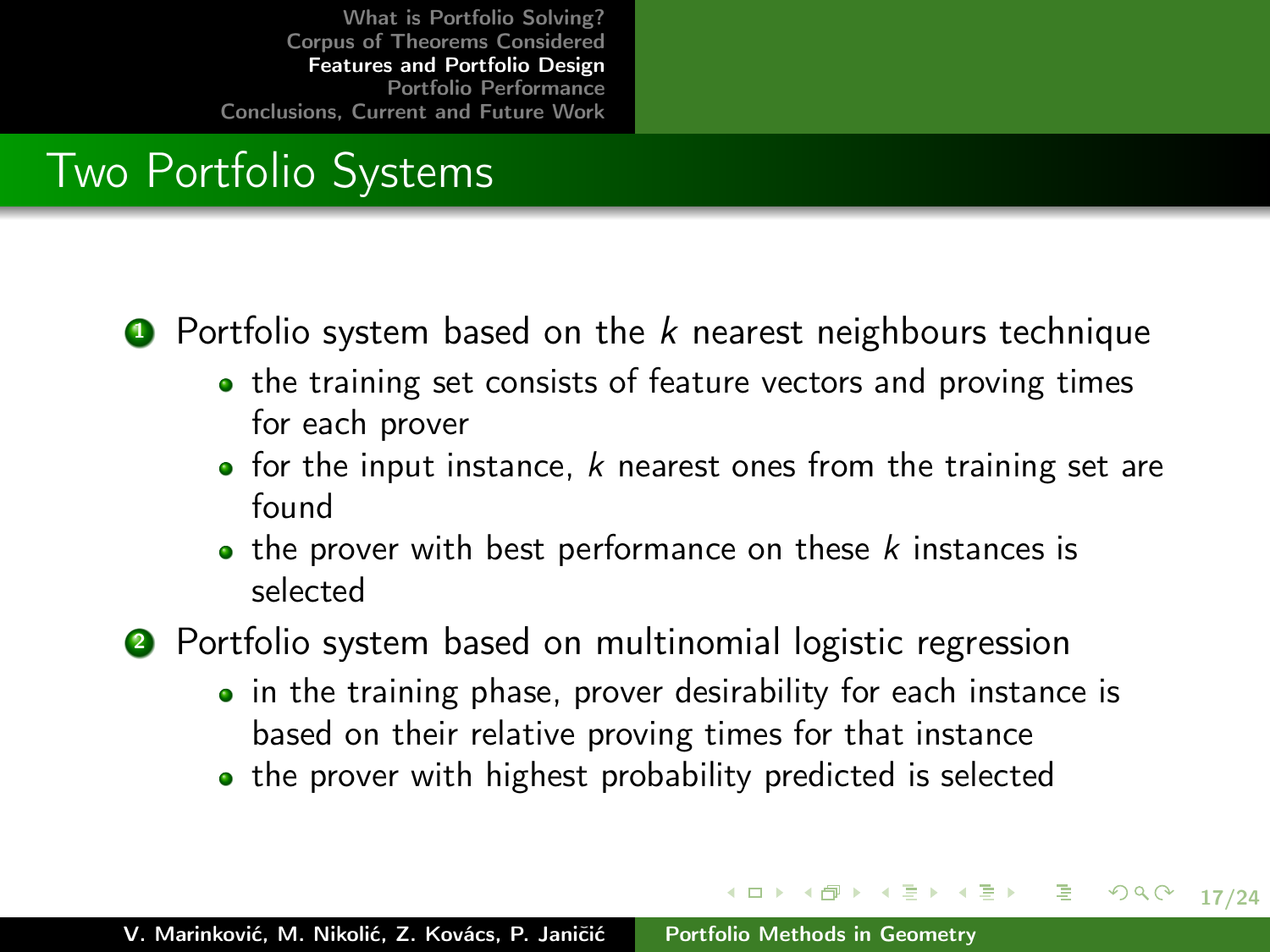## Two Portfolio Systems

#### **1** Portfolio system based on the k nearest neighbours technique

- the training set consists of feature vectors and proving times for each prover
- for the input instance, k nearest ones from the training set are found
- $\bullet$  the prover with best performance on these  $k$  instances is selected

**2** Portfolio system based on multinomial logistic regression

• in the training phase, prover desirability for each instance is based on their relative proving times for that instance

イロン イ団ン イミン イミン 一生

17/24

 $290$ 

• the prover with highest probability predicted is selected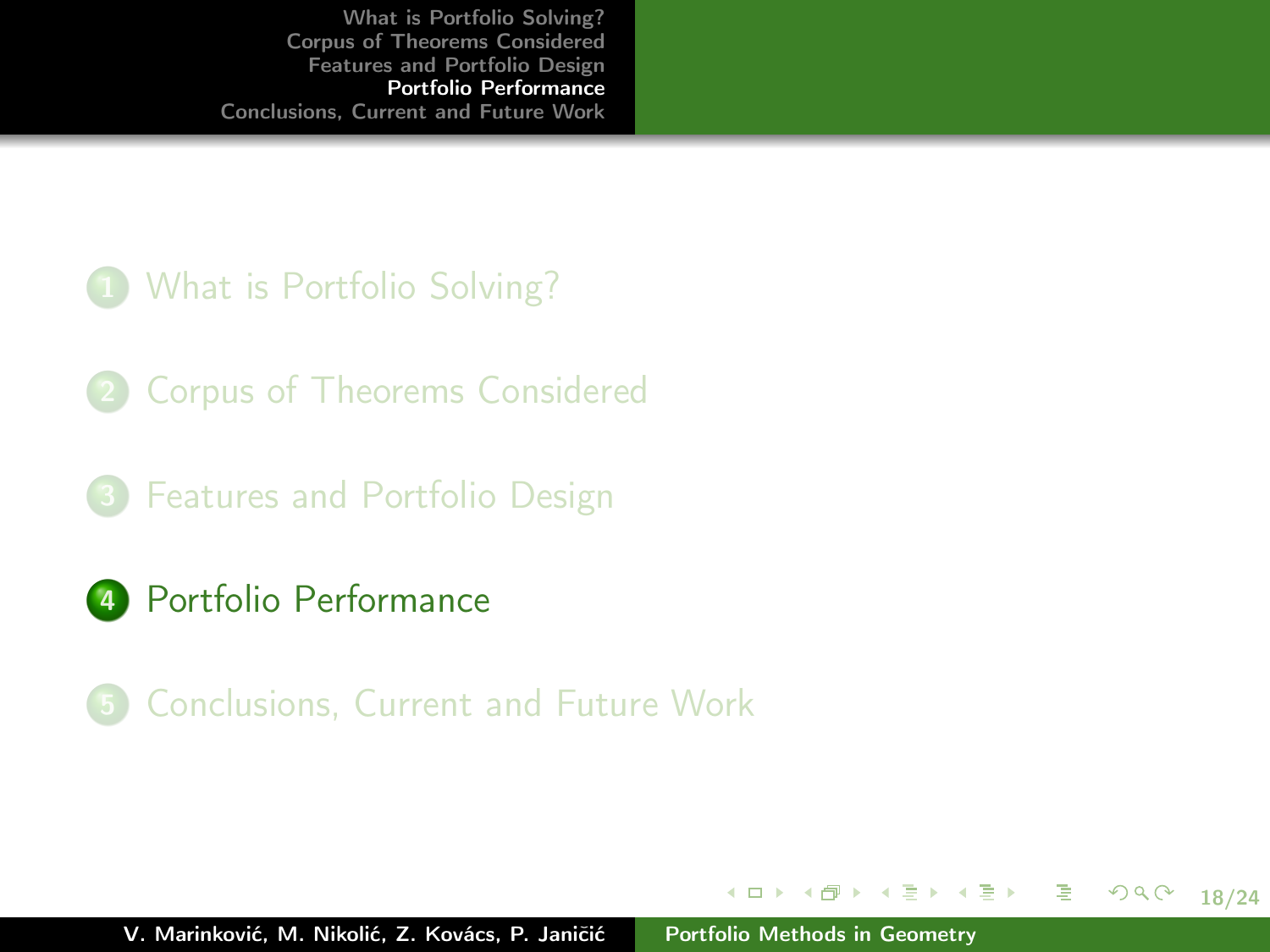#### 1 [What is Portfolio Solving?](#page-5-0)

- 2 [Corpus of Theorems Considered](#page-8-0)
- 3 [Features and Portfolio Design](#page-13-0)
- 4 [Portfolio Performance](#page-17-0)
- 5 [Conclusions, Current and Future Work](#page-22-0)

イロメ イ部メ イミメ イミメー

<span id="page-17-0"></span>18/24

目目  $298$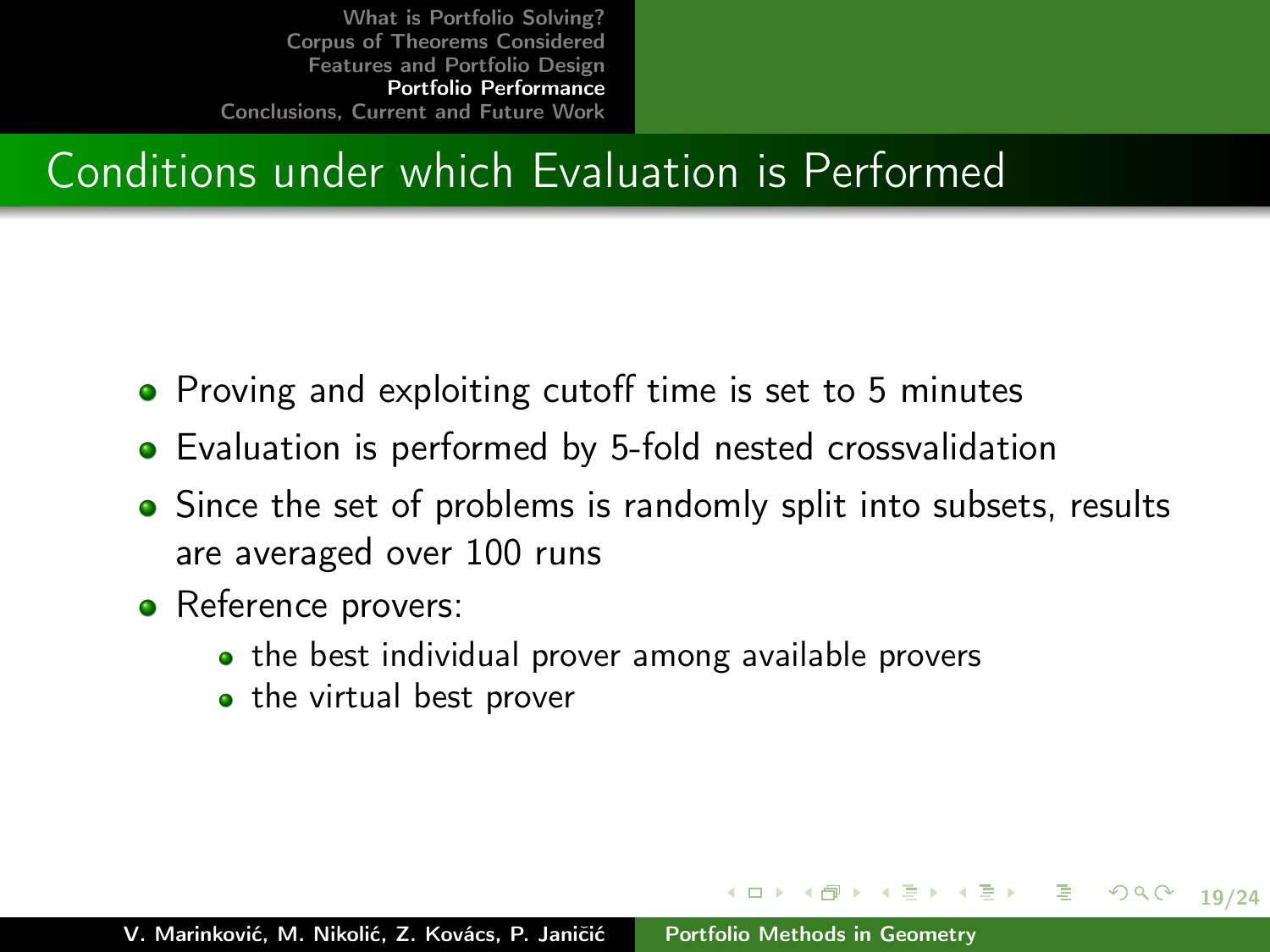## Conditions under which Evaluation is Performed

- Proving and exploiting cutoff time is set to 5 minutes
- Evaluation is performed by 5-fold nested crossvalidation
- Since the set of problems is randomly split into subsets, results are averaged over 100 runs

メロメ メ都 メメきメ メきメー 急い

19/24

- Reference provers:
	- the best individual prover among available provers
	- the virtual best prover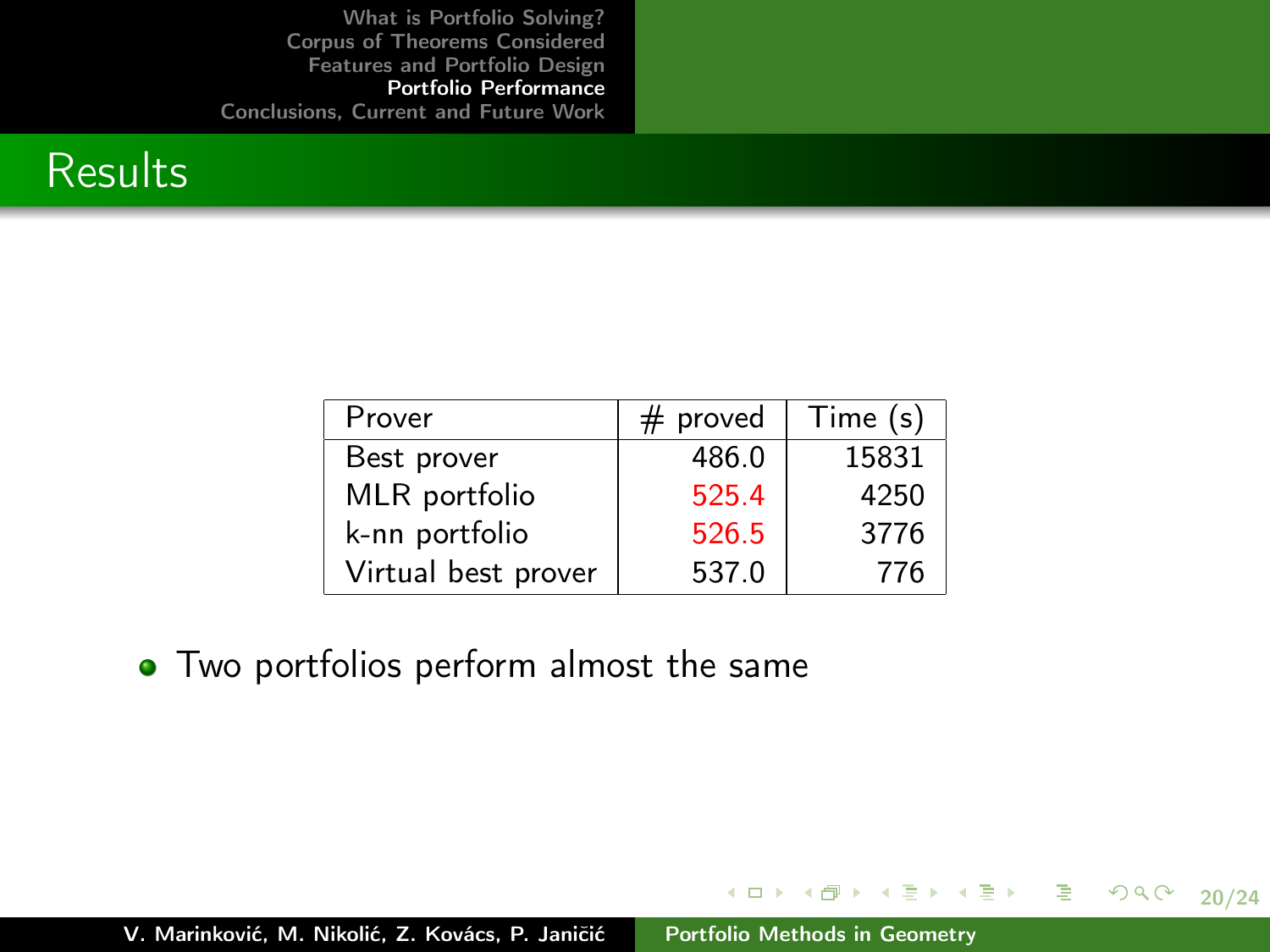

| Prover              | proved<br># | Time (s) |
|---------------------|-------------|----------|
| Best prover         | 486.0       | 15831    |
| MLR portfolio       | 525.4       | 4250     |
| k-nn portfolio      | 526.5       | 3776     |
| Virtual best prover | 537.0       | 776      |

• Two portfolios perform almost the same

20/24

 $2990$ 

メロメ メタメ メミメ メミメー ミー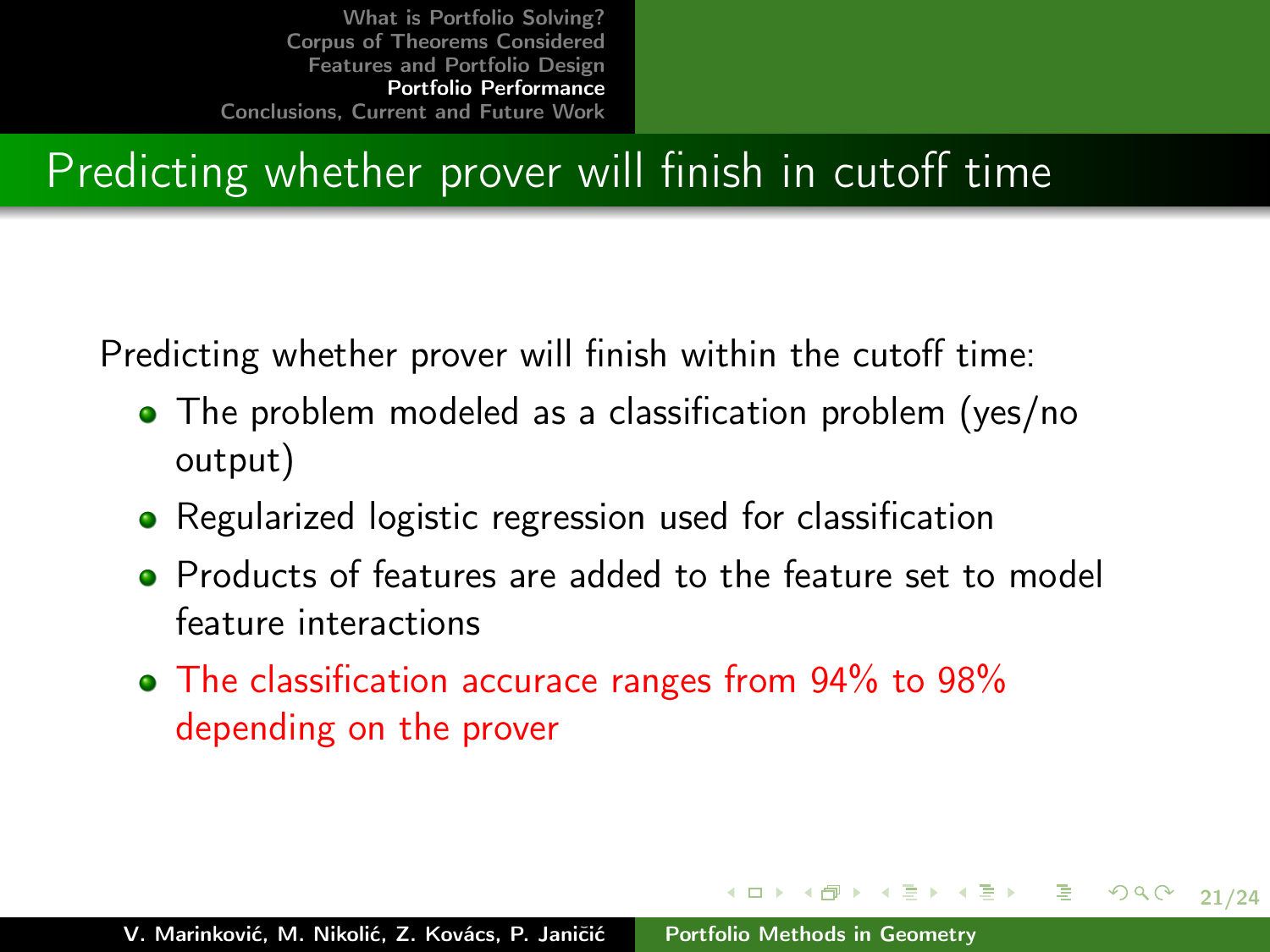# Predicting whether prover will finish in cutoff time

Predicting whether prover will finish within the cutoff time:

- The problem modeled as a classification problem (yes/no output)
- Regularized logistic regression used for classification
- **•** Products of features are added to the feature set to model feature interactions

21/24

 $2Q$ 

イロメ イ部メ イヨメ イヨメ 一番

• The classification accurace ranges from 94% to 98% depending on the prover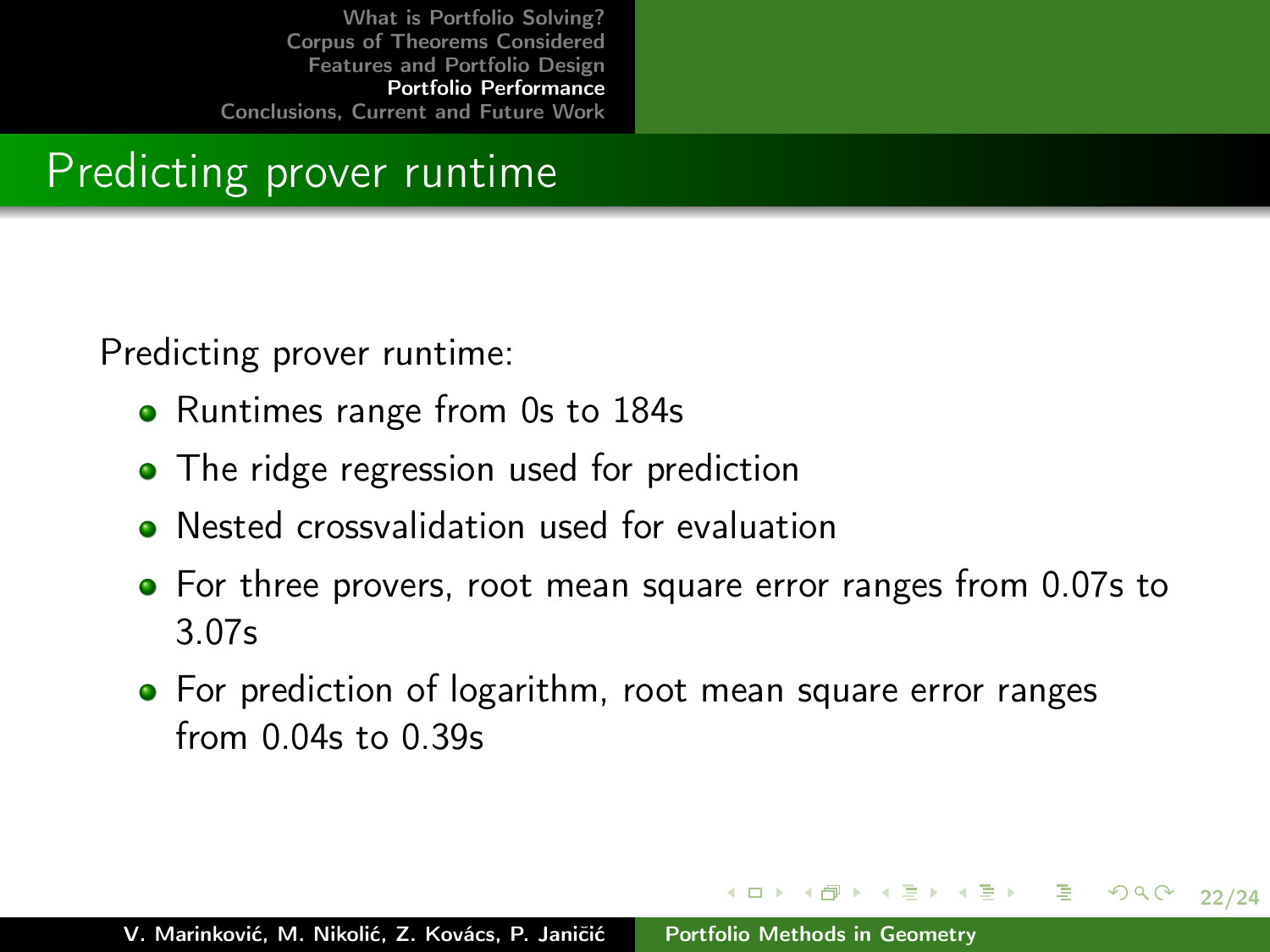### Predicting prover runtime

Predicting prover runtime:

- Runtimes range from 0s to 184s
- The ridge regression used for prediction
- Nested crossvalidation used for evaluation
- **•** For three provers, root mean square error ranges from 0.07s to 3.07s

イロメ イ押メ イミメ イモメー 毛

22/24

 $2Q$ 

• For prediction of logarithm, root mean square error ranges from 0.04s to 0.39s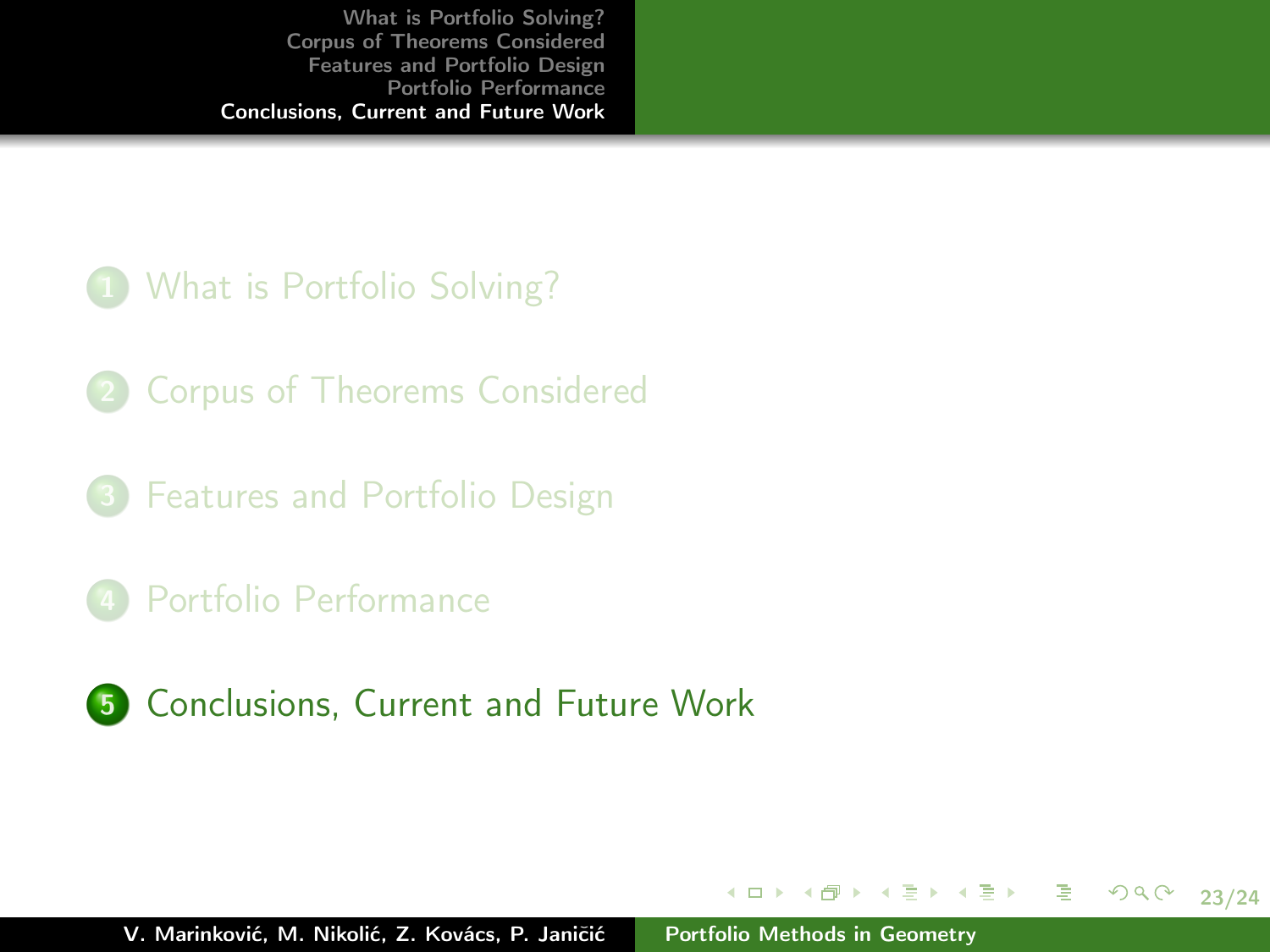#### **1** [What is Portfolio Solving?](#page-5-0)

- 2 [Corpus of Theorems Considered](#page-8-0)
- 3 [Features and Portfolio Design](#page-13-0)
- 4 [Portfolio Performance](#page-17-0)
- 5 [Conclusions, Current and Future Work](#page-22-0)

イロメ イ部メ イミメ イミメー

<span id="page-22-0"></span>23/24

目 -